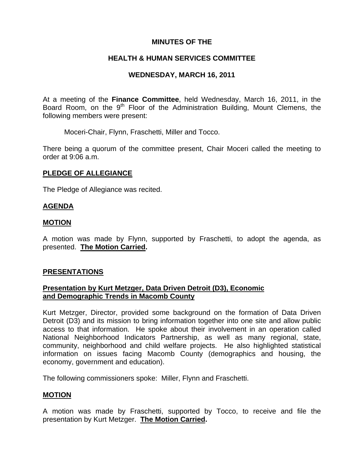# **MINUTES OF THE**

# **HEALTH & HUMAN SERVICES COMMITTEE**

# **WEDNESDAY, MARCH 16, 2011**

At a meeting of the **Finance Committee**, held Wednesday, March 16, 2011, in the Board Room, on the 9<sup>th</sup> Floor of the Administration Building, Mount Clemens, the following members were present:

Moceri-Chair, Flynn, Fraschetti, Miller and Tocco.

There being a quorum of the committee present, Chair Moceri called the meeting to order at 9:06 a.m.

# **PLEDGE OF ALLEGIANCE**

The Pledge of Allegiance was recited.

## **AGENDA**

#### **MOTION**

A motion was made by Flynn, supported by Fraschetti, to adopt the agenda, as presented. **The Motion Carried.** 

## **PRESENTATIONS**

## **Presentation by Kurt Metzger, Data Driven Detroit (D3), Economic and Demographic Trends in Macomb County**

Kurt Metzger, Director, provided some background on the formation of Data Driven Detroit (D3) and its mission to bring information together into one site and allow public access to that information. He spoke about their involvement in an operation called National Neighborhood Indicators Partnership, as well as many regional, state, community, neighborhood and child welfare projects. He also highlighted statistical information on issues facing Macomb County (demographics and housing, the economy, government and education).

The following commissioners spoke: Miller, Flynn and Fraschetti.

## **MOTION**

A motion was made by Fraschetti, supported by Tocco, to receive and file the presentation by Kurt Metzger. **The Motion Carried.**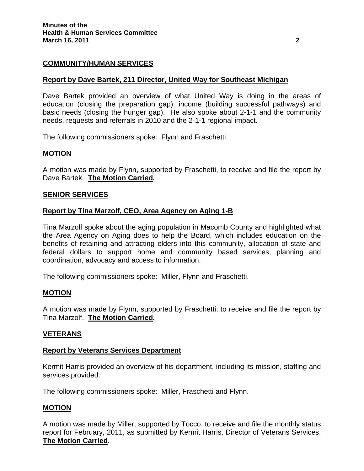# **COMMUNITY/HUMAN SERVICES**

### **Report by Dave Bartek, 211 Director, United Way for Southeast Michigan**

Dave Bartek provided an overview of what United Way is doing in the areas of education (closing the preparation gap), income (building successful pathways) and basic needs (closing the hunger gap). He also spoke about 2-1-1 and the community needs, requests and referrals in 2010 and the 2-1-1 regional impact.

The following commissioners spoke: Flynn and Fraschetti.

#### **MOTION**

A motion was made by Flynn, supported by Fraschetti, to receive and file the report by Dave Bartek. **The Motion Carried.** 

#### **SENIOR SERVICES**

#### **Report by Tina Marzolf, CEO, Area Agency on Aging 1-B**

Tina Marzolf spoke about the aging population in Macomb County and highlighted what the Area Agency on Aging does to help the Board, which includes education on the benefits of retaining and attracting elders into this community, allocation of state and federal dollars to support home and community based services, planning and coordination, advocacy and access to information.

The following commissioners spoke: Miller, Flynn and Fraschetti.

#### **MOTION**

A motion was made by Flynn, supported by Fraschetti, to receive and file the report by Tina Marzolf. **The Motion Carried.** 

## **VETERANS**

#### **Report by Veterans Services Department**

Kermit Harris provided an overview of his department, including its mission, staffing and services provided.

The following commissioners spoke: Miller, Fraschetti and Flynn.

#### **MOTION**

A motion was made by Miller, supported by Tocco, to receive and file the monthly status report for February, 2011, as submitted by Kermit Harris, Director of Veterans Services. **The Motion Carried.**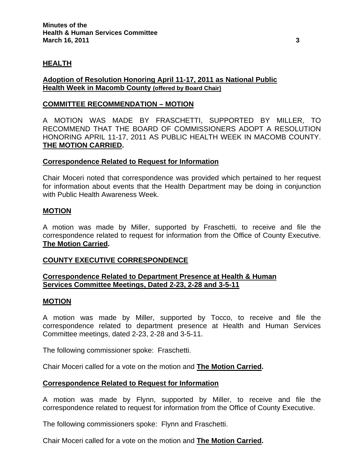# **HEALTH**

## **Adoption of Resolution Honoring April 11-17, 2011 as National Public Health Week in Macomb County (offered by Board Chair)**

## **COMMITTEE RECOMMENDATION – MOTION**

A MOTION WAS MADE BY FRASCHETTI, SUPPORTED BY MILLER, TO RECOMMEND THAT THE BOARD OF COMMISSIONERS ADOPT A RESOLUTION HONORING APRIL 11-17, 2011 AS PUBLIC HEALTH WEEK IN MACOMB COUNTY. **THE MOTION CARRIED.** 

#### **Correspondence Related to Request for Information**

Chair Moceri noted that correspondence was provided which pertained to her request for information about events that the Health Department may be doing in conjunction with Public Health Awareness Week.

#### **MOTION**

A motion was made by Miller, supported by Fraschetti, to receive and file the correspondence related to request for information from the Office of County Executive. **The Motion Carried.** 

## **COUNTY EXECUTIVE CORRESPONDENCE**

# **Correspondence Related to Department Presence at Health & Human Services Committee Meetings, Dated 2-23, 2-28 and 3-5-11**

#### **MOTION**

A motion was made by Miller, supported by Tocco, to receive and file the correspondence related to department presence at Health and Human Services Committee meetings, dated 2-23, 2-28 and 3-5-11.

The following commissioner spoke: Fraschetti.

Chair Moceri called for a vote on the motion and **The Motion Carried.** 

## **Correspondence Related to Request for Information**

A motion was made by Flynn, supported by Miller, to receive and file the correspondence related to request for information from the Office of County Executive.

The following commissioners spoke: Flynn and Fraschetti.

Chair Moceri called for a vote on the motion and **The Motion Carried.**